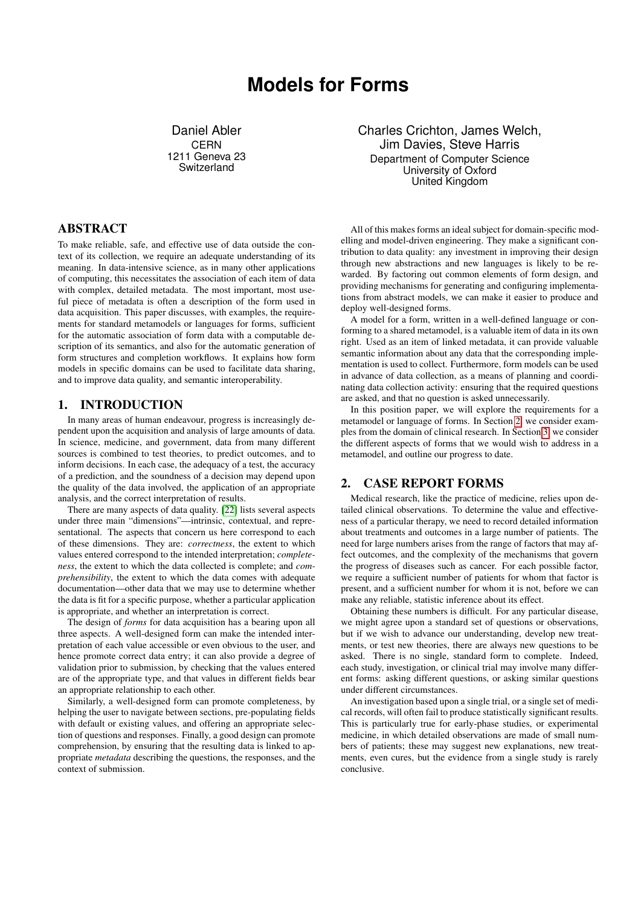# **Models for Forms**

Daniel Abler CERN 1211 Geneva 23 **Switzerland** 

# ABSTRACT

To make reliable, safe, and effective use of data outside the context of its collection, we require an adequate understanding of its meaning. In data-intensive science, as in many other applications of computing, this necessitates the association of each item of data with complex, detailed metadata. The most important, most useful piece of metadata is often a description of the form used in data acquisition. This paper discusses, with examples, the requirements for standard metamodels or languages for forms, sufficient for the automatic association of form data with a computable description of its semantics, and also for the automatic generation of form structures and completion workflows. It explains how form models in specific domains can be used to facilitate data sharing, and to improve data quality, and semantic interoperability.

# 1. INTRODUCTION

In many areas of human endeavour, progress is increasingly dependent upon the acquisition and analysis of large amounts of data. In science, medicine, and government, data from many different sources is combined to test theories, to predict outcomes, and to inform decisions. In each case, the adequacy of a test, the accuracy of a prediction, and the soundness of a decision may depend upon the quality of the data involved, the application of an appropriate analysis, and the correct interpretation of results.

There are many aspects of data quality. [\[22\]](#page-5-0) lists several aspects under three main "dimensions"—intrinsic, contextual, and representational. The aspects that concern us here correspond to each of these dimensions. They are: *correctness*, the extent to which values entered correspond to the intended interpretation; *completeness*, the extent to which the data collected is complete; and *comprehensibility*, the extent to which the data comes with adequate documentation—other data that we may use to determine whether the data is fit for a specific purpose, whether a particular application is appropriate, and whether an interpretation is correct.

The design of *forms* for data acquisition has a bearing upon all three aspects. A well-designed form can make the intended interpretation of each value accessible or even obvious to the user, and hence promote correct data entry; it can also provide a degree of validation prior to submission, by checking that the values entered are of the appropriate type, and that values in different fields bear an appropriate relationship to each other.

Similarly, a well-designed form can promote completeness, by helping the user to navigate between sections, pre-populating fields with default or existing values, and offering an appropriate selection of questions and responses. Finally, a good design can promote comprehension, by ensuring that the resulting data is linked to appropriate *metadata* describing the questions, the responses, and the context of submission.

Charles Crichton, James Welch, Jim Davies, Steve Harris Department of Computer Science University of Oxford United Kingdom

All of this makes forms an ideal subject for domain-specific modelling and model-driven engineering. They make a significant contribution to data quality: any investment in improving their design through new abstractions and new languages is likely to be rewarded. By factoring out common elements of form design, and providing mechanisms for generating and configuring implementations from abstract models, we can make it easier to produce and deploy well-designed forms.

A model for a form, written in a well-defined language or conforming to a shared metamodel, is a valuable item of data in its own right. Used as an item of linked metadata, it can provide valuable semantic information about any data that the corresponding implementation is used to collect. Furthermore, form models can be used in advance of data collection, as a means of planning and coordinating data collection activity: ensuring that the required questions are asked, and that no question is asked unnecessarily.

In this position paper, we will explore the requirements for a metamodel or language of forms. In Section [2,](#page-0-0) we consider examples from the domain of clinical research. In Section [3,](#page-2-0) we consider the different aspects of forms that we would wish to address in a metamodel, and outline our progress to date.

### <span id="page-0-0"></span>2. CASE REPORT FORMS

Medical research, like the practice of medicine, relies upon detailed clinical observations. To determine the value and effectiveness of a particular therapy, we need to record detailed information about treatments and outcomes in a large number of patients. The need for large numbers arises from the range of factors that may affect outcomes, and the complexity of the mechanisms that govern the progress of diseases such as cancer. For each possible factor, we require a sufficient number of patients for whom that factor is present, and a sufficient number for whom it is not, before we can make any reliable, statistic inference about its effect.

Obtaining these numbers is difficult. For any particular disease, we might agree upon a standard set of questions or observations, but if we wish to advance our understanding, develop new treatments, or test new theories, there are always new questions to be asked. There is no single, standard form to complete. Indeed, each study, investigation, or clinical trial may involve many different forms: asking different questions, or asking similar questions under different circumstances.

An investigation based upon a single trial, or a single set of medical records, will often fail to produce statistically significant results. This is particularly true for early-phase studies, or experimental medicine, in which detailed observations are made of small numbers of patients; these may suggest new explanations, new treatments, even cures, but the evidence from a single study is rarely conclusive.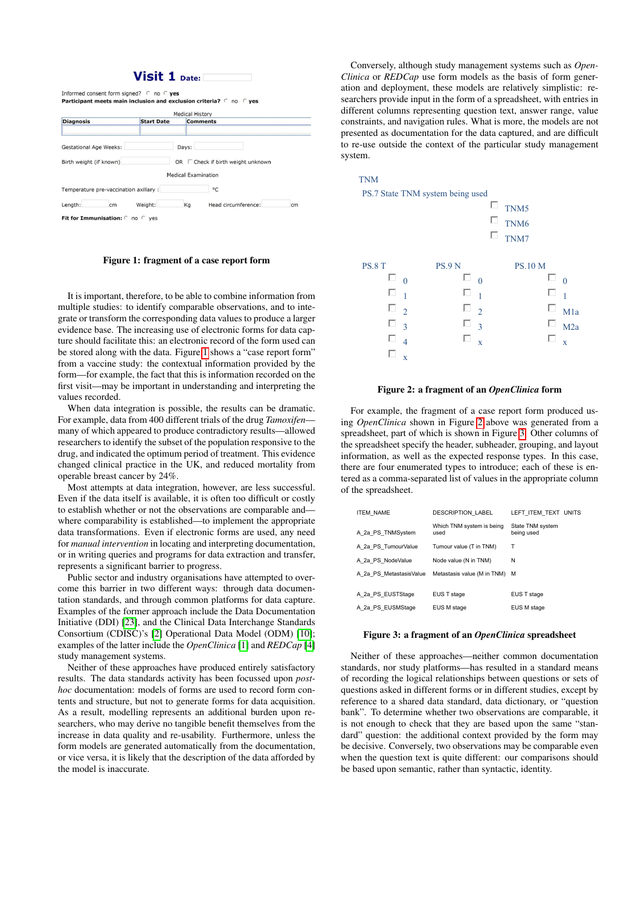### Visit 1 Date:

Informed consent form signed?  $\subseteq$  no  $\subseteq$  yes<br>Participant meets main inclusion and exclusion criteria?  $\subseteq$  no  $\subseteq$  yes

|       | <b>Comments</b>     |                                                                  |
|-------|---------------------|------------------------------------------------------------------|
| Days: |                     |                                                                  |
|       |                     |                                                                  |
|       |                     |                                                                  |
|       | °C                  |                                                                  |
| Kg    | Head circumference: | cm                                                               |
|       |                     | OR $\Gamma$ Check if birth weight unknown<br>Medical Examination |

#### <span id="page-1-0"></span>Figure 1: fragment of a case report form

be stored along with the data. Figure [1](#page-1-0) shows a "case report form" It is important, therefore, to be able to combine information from multiple studies: to identify comparable observations, and to integrate or transform the corresponding data values to produce a larger evidence base. The increasing use of electronic forms for data capture should facilitate this: an electronic record of the form used can from a vaccine study: the contextual information provided by the form—for example, the fact that this is information recorded on the first visit—may be important in understanding and interpreting the values recorded.

> When data integration is possible, the results can be dramatic. For example, data from 400 different trials of the drug *Tamoxifen* many of which appeared to produce contradictory results—allowed researchers to identify the subset of the population responsive to the drug, and indicated the optimum period of treatment. This evidence changed clinical practice in the UK, and reduced mortality from operable breast cancer by 24%.

> Most attempts at data integration, however, are less successful. Even if the data itself is available, it is often too difficult or costly to establish whether or not the observations are comparable and where comparability is established—to implement the appropriate data transformations. Even if electronic forms are used, any need for *manual intervention* in locating and interpreting documentation, or in writing queries and programs for data extraction and transfer, represents a significant barrier to progress.

> Public sector and industry organisations have attempted to overcome this barrier in two different ways: through data documentation standards, and through common platforms for data capture. Examples of the former approach include the Data Documentation Initiative (DDI) [\[23\]](#page-5-1), and the Clinical Data Interchange Standards Consortium (CDISC)'s [\[2\]](#page-4-0) Operational Data Model (ODM) [\[10\]](#page-5-2); examples of the latter include the *OpenClinica* [\[1\]](#page-4-1) and *REDCap* [\[4\]](#page-4-2) study management systems.

> Neither of these approaches have produced entirely satisfactory results. The data standards activity has been focussed upon *posthoc* documentation: models of forms are used to record form contents and structure, but not to generate forms for data acquisition. As a result, modelling represents an additional burden upon researchers, who may derive no tangible benefit themselves from the increase in data quality and re-usability. Furthermore, unless the form models are generated automatically from the documentation, or vice versa, it is likely that the description of the data afforded by the model is inaccurate.

Conversely, although study management systems such as *Open-Clinica* or *REDCap* use form models as the basis of form generation and deployment, these models are relatively simplistic: researchers provide input in the form of a spreadsheet, with entries in different columns representing question text, answer range, value constraints, and navigation rules. What is more, the models are not presented as documentation for the data captured, and are difficult to re-use outside the context of the particular study management system.



#### <span id="page-1-1"></span>Figure 2: a fragment of an *OpenClinica* form

For example, the fragment of a case report form produced using *OpenClinica* shown in Figure [2](#page-1-1) above was generated from a spreadsheet, part of which is shown in Figure [3.](#page-1-2) Other columns of the spreadsheet specify the header, subheader, grouping, and layout information, as well as the expected response types. In this case, there are four enumerated types to introduce; each of these is entered as a comma-separated list of values in the appropriate column of the spreadsheet.

| <b>ITEM NAME</b>        | <b>DESCRIPTION LABEL</b>          | LEFT ITEM TEXT UNITS           |
|-------------------------|-----------------------------------|--------------------------------|
| A 2a PS TNMSystem       | Which TNM system is being<br>used | State TNM system<br>being used |
| A 2a PS TumourValue     | Tumour value (T in TNM)           | т                              |
| A 2a PS NodeValue       | Node value (N in TNM)             | N                              |
| A 2a PS MetastasisValue | Metastasis value (M in TNM) M     |                                |
| A 2a PS EUSTStage       | EUS T stage                       | EUS T stage                    |
| A 2a PS EUSMStage       | EUS M stage                       | EUS M stage                    |

#### <span id="page-1-2"></span>Figure 3: a fragment of an *OpenClinica* spreadsheet

Neither of these approaches—neither common documentation standards, nor study platforms—has resulted in a standard means of recording the logical relationships between questions or sets of questions asked in different forms or in different studies, except by reference to a shared data standard, data dictionary, or "question bank". To determine whether two observations are comparable, it is not enough to check that they are based upon the same "standard" question: the additional context provided by the form may be decisive. Conversely, two observations may be comparable even when the question text is quite different: our comparisons should be based upon semantic, rather than syntactic, identity.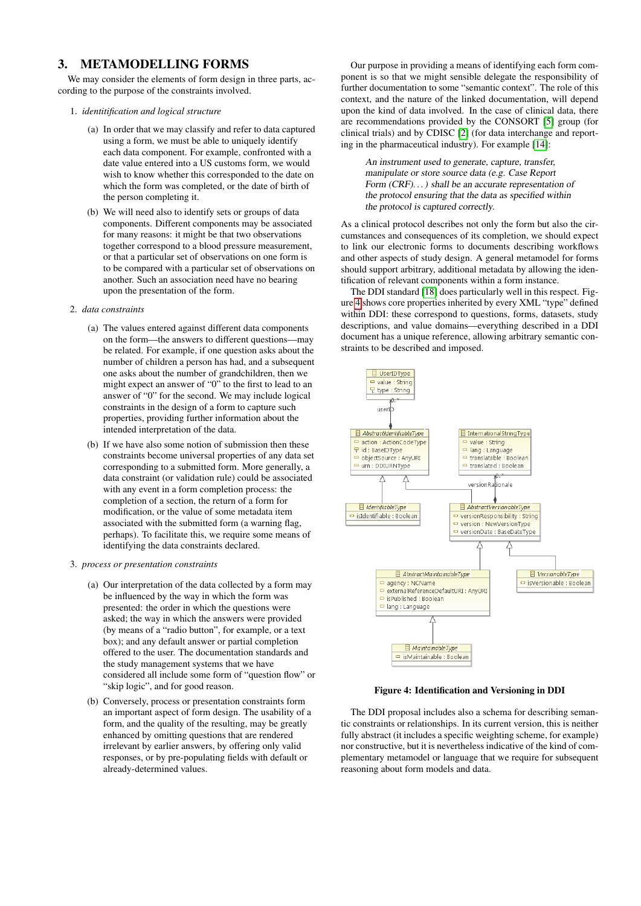# <span id="page-2-0"></span>3. METAMODELLING FORMS

We may consider the elements of form design in three parts, according to the purpose of the constraints involved.

- 1. *identitification and logical structure*
	- (a) In order that we may classify and refer to data captured using a form, we must be able to uniquely identify each data component. For example, confronted with a date value entered into a US customs form, we would wish to know whether this corresponded to the date on which the form was completed, or the date of birth of the person completing it.
	- (b) We will need also to identify sets or groups of data components. Different components may be associated for many reasons: it might be that two observations together correspond to a blood pressure measurement, or that a particular set of observations on one form is to be compared with a particular set of observations on another. Such an association need have no bearing upon the presentation of the form.
- 2. *data constraints*
	- (a) The values entered against different data components on the form—the answers to different questions—may be related. For example, if one question asks about the number of children a person has had, and a subsequent one asks about the number of grandchildren, then we might expect an answer of "0" to the first to lead to an answer of "0" for the second. We may include logical constraints in the design of a form to capture such properties, providing further information about the intended interpretation of the data.
	- (b) If we have also some notion of submission then these constraints become universal properties of any data set corresponding to a submitted form. More generally, a data constraint (or validation rule) could be associated with any event in a form completion process: the completion of a section, the return of a form for modification, or the value of some metadata item associated with the submitted form (a warning flag, perhaps). To facilitate this, we require some means of identifying the data constraints declared.
- 3. *process or presentation constraints*
	- (a) Our interpretation of the data collected by a form may be influenced by the way in which the form was presented: the order in which the questions were asked; the way in which the answers were provided (by means of a "radio button", for example, or a text box); and any default answer or partial completion offered to the user. The documentation standards and the study management systems that we have considered all include some form of "question flow" or "skip logic", and for good reason.
	- (b) Conversely, process or presentation constraints form an important aspect of form design. The usability of a form, and the quality of the resulting, may be greatly enhanced by omitting questions that are rendered irrelevant by earlier answers, by offering only valid responses, or by pre-populating fields with default or already-determined values.

Our purpose in providing a means of identifying each form component is so that we might sensible delegate the responsibility of further documentation to some "semantic context". The role of this context, and the nature of the linked documentation, will depend upon the kind of data involved. In the case of clinical data, there are recommendations provided by the CONSORT [\[5\]](#page-4-3) group (for clinical trials) and by CDISC [\[2\]](#page-4-0) (for data interchange and reporting in the pharmaceutical industry). For example [\[14\]](#page-5-3):

An instrument used to generate, capture, transfer, manipulate or store source data (e.g. Case Report Form (CRF)...) shall be an accurate representation of the protocol ensuring that the data as specified within the protocol is captured correctly.

As a clinical protocol describes not only the form but also the circumstances and consequences of its completion, we should expect to link our electronic forms to documents describing workflows and other aspects of study design. A general metamodel for forms should support arbitrary, additional metadata by allowing the identification of relevant components within a form instance.

The DDI standard [\[18\]](#page-5-4) does particularly well in this respect. Figure [4](#page-2-1) shows core properties inherited by every XML "type" defined within DDI: these correspond to questions, forms, datasets, study descriptions, and value domains—everything described in a DDI document has a unique reference, allowing arbitrary semantic constraints to be described and imposed.



<span id="page-2-1"></span>Figure 4: Identification and Versioning in DDI

The DDI proposal includes also a schema for describing semantic constraints or relationships. In its current version, this is neither fully abstract (it includes a specific weighting scheme, for example) nor constructive, but it is nevertheless indicative of the kind of complementary metamodel or language that we require for subsequent reasoning about form models and data.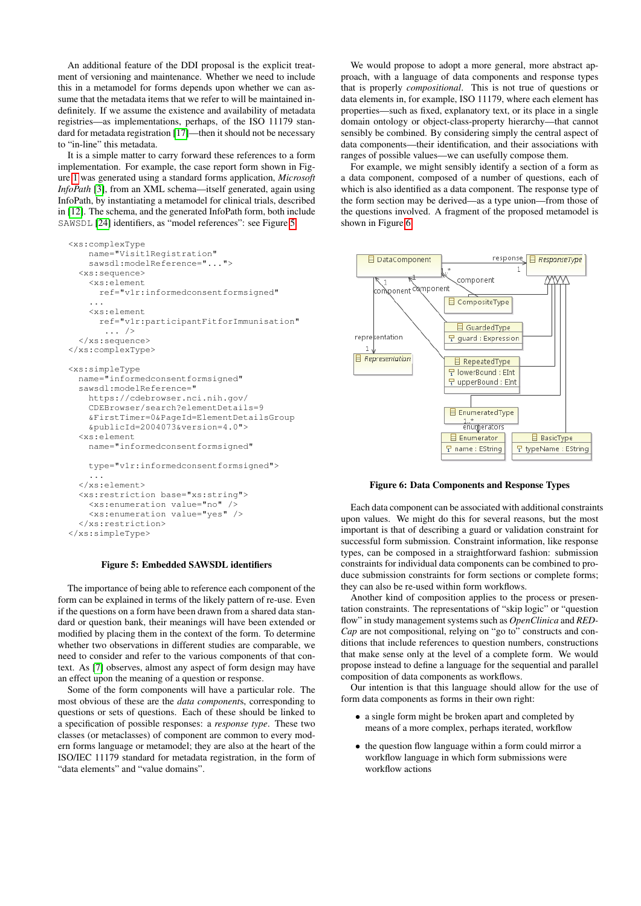An additional feature of the DDI proposal is the explicit treatment of versioning and maintenance. Whether we need to include this in a metamodel for forms depends upon whether we can assume that the metadata items that we refer to will be maintained indefinitely. If we assume the existence and availability of metadata registries—as implementations, perhaps, of the ISO 11179 stan-dard for metadata registration [\[17\]](#page-5-5)—then it should not be necessary to "in-line" this metadata.

It is a simple matter to carry forward these references to a form implementation. For example, the case report form shown in Figure [1](#page-1-0) was generated using a standard forms application, *Microsoft InfoPath* [\[3\]](#page-4-4), from an XML schema—itself generated, again using InfoPath, by instantiating a metamodel for clinical trials, described in [\[12\]](#page-5-6). The schema, and the generated InfoPath form, both include SAWSDL [\[24\]](#page-5-7) identifiers, as "model references": see Figure [5.](#page-3-0)

```
<xs:complexType
    name="Visit1Registration"
    sawsdl:modelReference="...">
  <xs:sequence>
    <sub>vec</sub>:alement</sub>
      ref="v1r:informedconsentformsigned"
    ...
    <xs:element
      ref="v1r:participantFitforImmunisation"
       ... />
  </xs:sequence>
</xs:complexType>
<xs:simpleType
  name="informedconsentformsigned"
  sawsdl:modelReference="
    https://cdebrowser.nci.nih.gov/
    CDEBrowser/search?elementDetails=9
    &FirstTimer=0&PageId=ElementDetailsGroup
    &publicId=2004073&version=4.0">
  <xs:element
    name="informedconsentformsigned"
    type="v1r:informedconsentformsigned">
    ...
  </xs:element>
  <xs:restriction base="xs:string">
    <xs:enumeration value="no" />
    <xs:enumeration value="yes" />
  </xs:restriction>
</xs:simpleType>
```
#### <span id="page-3-0"></span>Figure 5: Embedded SAWSDL identifiers

The importance of being able to reference each component of the form can be explained in terms of the likely pattern of re-use. Even if the questions on a form have been drawn from a shared data standard or question bank, their meanings will have been extended or modified by placing them in the context of the form. To determine whether two observations in different studies are comparable, we need to consider and refer to the various components of that context. As [\[7\]](#page-5-8) observes, almost any aspect of form design may have an effect upon the meaning of a question or response.

Some of the form components will have a particular role. The most obvious of these are the *data component*s, corresponding to questions or sets of questions. Each of these should be linked to a specification of possible responses: a *response type*. These two classes (or metaclasses) of component are common to every modern forms language or metamodel; they are also at the heart of the ISO/IEC 11179 standard for metadata registration, in the form of "data elements" and "value domains".

We would propose to adopt a more general, more abstract approach, with a language of data components and response types that is properly *compositional*. This is not true of questions or data elements in, for example, ISO 11179, where each element has properties—such as fixed, explanatory text, or its place in a single domain ontology or object-class-property hierarchy—that cannot sensibly be combined. By considering simply the central aspect of data components—their identification, and their associations with ranges of possible values—we can usefully compose them.

For example, we might sensibly identify a section of a form as a data component, composed of a number of questions, each of which is also identified as a data component. The response type of the form section may be derived—as a type union—from those of the questions involved. A fragment of the proposed metamodel is shown in Figure [6.](#page-3-1)



<span id="page-3-1"></span>Figure 6: Data Components and Response Types

Each data component can be associated with additional constraints upon values. We might do this for several reasons, but the most important is that of describing a guard or validation constraint for successful form submission. Constraint information, like response types, can be composed in a straightforward fashion: submission constraints for individual data components can be combined to produce submission constraints for form sections or complete forms; they can also be re-used within form workflows.

Another kind of composition applies to the process or presentation constraints. The representations of "skip logic" or "question flow" in study management systems such as *OpenClinica* and *RED-Cap* are not compositional, relying on "go to" constructs and conditions that include references to question numbers, constructions that make sense only at the level of a complete form. We would propose instead to define a language for the sequential and parallel composition of data components as workflows.

Our intention is that this language should allow for the use of form data components as forms in their own right:

- a single form might be broken apart and completed by means of a more complex, perhaps iterated, workflow
- the question flow language within a form could mirror a workflow language in which form submissions were workflow actions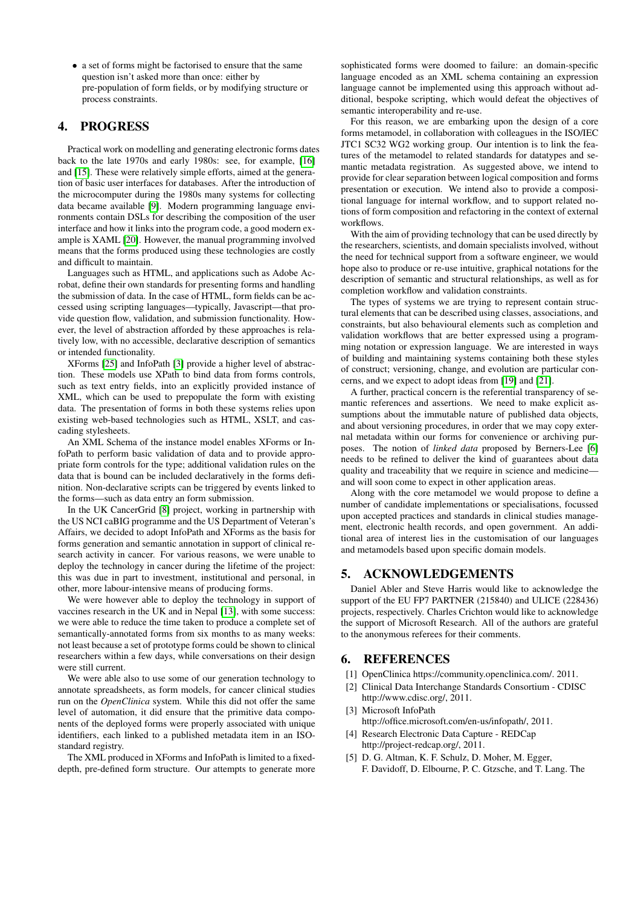• a set of forms might be factorised to ensure that the same question isn't asked more than once: either by pre-population of form fields, or by modifying structure or process constraints.

## 4. PROGRESS

Practical work on modelling and generating electronic forms dates back to the late 1970s and early 1980s: see, for example, [\[16\]](#page-5-9) and [\[15\]](#page-5-10). These were relatively simple efforts, aimed at the generation of basic user interfaces for databases. After the introduction of the microcomputer during the 1980s many systems for collecting data became available [\[9\]](#page-5-11). Modern programming language environments contain DSLs for describing the composition of the user interface and how it links into the program code, a good modern example is XAML [\[20\]](#page-5-12). However, the manual programming involved means that the forms produced using these technologies are costly and difficult to maintain.

Languages such as HTML, and applications such as Adobe Acrobat, define their own standards for presenting forms and handling the submission of data. In the case of HTML, form fields can be accessed using scripting languages—typically, Javascript—that provide question flow, validation, and submission functionality. However, the level of abstraction afforded by these approaches is relatively low, with no accessible, declarative description of semantics or intended functionality.

XForms [\[25\]](#page-5-13) and InfoPath [\[3\]](#page-4-4) provide a higher level of abstraction. These models use XPath to bind data from forms controls, such as text entry fields, into an explicitly provided instance of XML, which can be used to prepopulate the form with existing data. The presentation of forms in both these systems relies upon existing web-based technologies such as HTML, XSLT, and cascading stylesheets.

An XML Schema of the instance model enables XForms or InfoPath to perform basic validation of data and to provide appropriate form controls for the type; additional validation rules on the data that is bound can be included declaratively in the forms definition. Non-declarative scripts can be triggered by events linked to the forms—such as data entry an form submission.

In the UK CancerGrid [\[8\]](#page-5-14) project, working in partnership with the US NCI caBIG programme and the US Department of Veteran's Affairs, we decided to adopt InfoPath and XForms as the basis for forms generation and semantic annotation in support of clinical research activity in cancer. For various reasons, we were unable to deploy the technology in cancer during the lifetime of the project: this was due in part to investment, institutional and personal, in other, more labour-intensive means of producing forms.

We were however able to deploy the technology in support of vaccines research in the UK and in Nepal [\[13\]](#page-5-15), with some success: we were able to reduce the time taken to produce a complete set of semantically-annotated forms from six months to as many weeks: not least because a set of prototype forms could be shown to clinical researchers within a few days, while conversations on their design were still current.

We were able also to use some of our generation technology to annotate spreadsheets, as form models, for cancer clinical studies run on the *OpenClinica* system. While this did not offer the same level of automation, it did ensure that the primitive data components of the deployed forms were properly associated with unique identifiers, each linked to a published metadata item in an ISOstandard registry.

The XML produced in XForms and InfoPath is limited to a fixeddepth, pre-defined form structure. Our attempts to generate more

sophisticated forms were doomed to failure: an domain-specific language encoded as an XML schema containing an expression language cannot be implemented using this approach without additional, bespoke scripting, which would defeat the objectives of semantic interoperability and re-use.

For this reason, we are embarking upon the design of a core forms metamodel, in collaboration with colleagues in the ISO/IEC JTC1 SC32 WG2 working group. Our intention is to link the features of the metamodel to related standards for datatypes and semantic metadata registration. As suggested above, we intend to provide for clear separation between logical composition and forms presentation or execution. We intend also to provide a compositional language for internal workflow, and to support related notions of form composition and refactoring in the context of external workflows.

With the aim of providing technology that can be used directly by the researchers, scientists, and domain specialists involved, without the need for technical support from a software engineer, we would hope also to produce or re-use intuitive, graphical notations for the description of semantic and structural relationships, as well as for completion workflow and validation constraints.

The types of systems we are trying to represent contain structural elements that can be described using classes, associations, and constraints, but also behavioural elements such as completion and validation workflows that are better expressed using a programming notation or expression language. We are interested in ways of building and maintaining systems containing both these styles of construct; versioning, change, and evolution are particular concerns, and we expect to adopt ideas from [\[19\]](#page-5-16) and [\[21\]](#page-5-17).

A further, practical concern is the referential transparency of semantic references and assertions. We need to make explicit assumptions about the immutable nature of published data objects, and about versioning procedures, in order that we may copy external metadata within our forms for convenience or archiving purposes. The notion of *linked data* proposed by Berners-Lee [\[6\]](#page-5-18) needs to be refined to deliver the kind of guarantees about data quality and traceability that we require in science and medicine and will soon come to expect in other application areas.

Along with the core metamodel we would propose to define a number of candidate implementations or specialisations, focussed upon accepted practices and standards in clinical studies management, electronic health records, and open government. An additional area of interest lies in the customisation of our languages and metamodels based upon specific domain models.

### 5. ACKNOWLEDGEMENTS

Daniel Abler and Steve Harris would like to acknowledge the support of the EU FP7 PARTNER (215840) and ULICE (228436) projects, respectively. Charles Crichton would like to acknowledge the support of Microsoft Research. All of the authors are grateful to the anonymous referees for their comments.

### 6. REFERENCES

- <span id="page-4-1"></span>[1] OpenClinica https://community.openclinica.com/. 2011.
- <span id="page-4-0"></span>[2] Clinical Data Interchange Standards Consortium - CDISC http://www.cdisc.org/, 2011.
- <span id="page-4-4"></span>[3] Microsoft InfoPath http://office.microsoft.com/en-us/infopath/, 2011.
- <span id="page-4-2"></span>[4] Research Electronic Data Capture - REDCap http://project-redcap.org/, 2011.
- <span id="page-4-3"></span>[5] D. G. Altman, K. F. Schulz, D. Moher, M. Egger, F. Davidoff, D. Elbourne, P. C. Gtzsche, and T. Lang. The